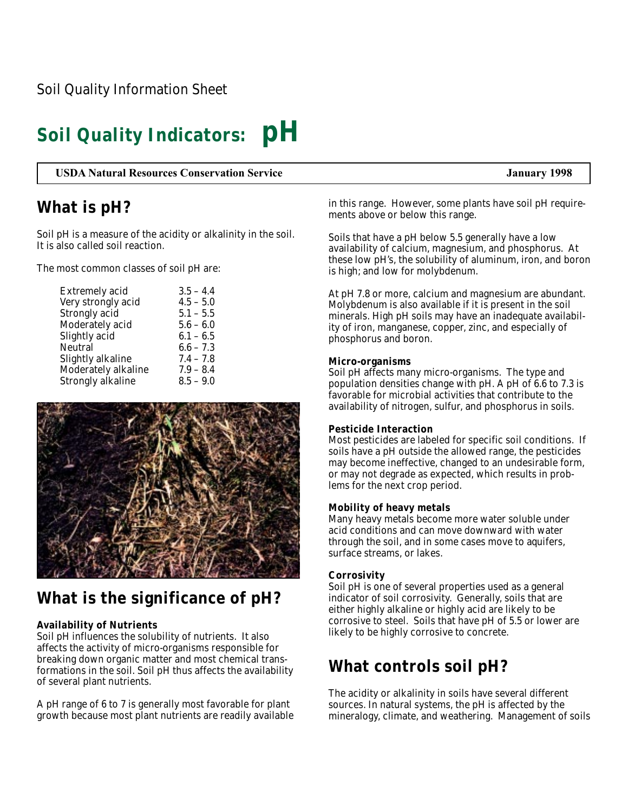# **Soil Quality Indicators: pH**

**USDA Natural Resources Conservation Service January 1998**

### **What is pH?**

Soil pH is a measure of the acidity or alkalinity in the soil. It is also called soil reaction.

The most common classes of soil pH are:

| <b>Extremely acid</b>    | $3.5 - 4.4$ |
|--------------------------|-------------|
| Very strongly acid       | $4.5 - 5.0$ |
| Strongly acid            | $5.1 - 5.5$ |
| Moderately acid          | $5.6 - 6.0$ |
| Slightly acid            | $6.1 - 6.5$ |
| Neutral                  | $6.6 - 7.3$ |
| Slightly alkaline        | $7.4 - 7.8$ |
| Moderately alkaline      | $7.9 - 8.4$ |
| <b>Strongly alkaline</b> | $8.5 - 9.0$ |
|                          |             |



## **What is the significance of pH?**

### **Availability of Nutrients**

Soil pH influences the solubility of nutrients. It also affects the activity of micro-organisms responsible for breaking down organic matter and most chemical transformations in the soil. Soil pH thus affects the availability of several plant nutrients.

A pH range of 6 to 7 is generally most favorable for plant growth because most plant nutrients are readily available in this range. However, some plants have soil pH requirements above or below this range.

Soils that have a pH below 5.5 generally have a low availability of calcium, magnesium, and phosphorus. At these low pH's, the solubility of aluminum, iron, and boron is high; and low for molybdenum.

At pH 7.8 or more, calcium and magnesium are abundant. Molybdenum is also available if it is present in the soil minerals. High pH soils may have an inadequate availability of iron, manganese, copper, zinc, and especially of phosphorus and boron.

#### **Micro-organisms**

Soil pH affects many micro-organisms. The type and population densities change with pH. A pH of  $6.6$  to 7.3 is favorable for microbial activities that contribute to the availability of nitrogen, sulfur, and phosphorus in soils.

### **Pesticide Interaction**

Most pesticides are labeled for specific soil conditions. If soils have a pH outside the allowed range, the pesticides may become ineffective, changed to an undesirable form, or may not degrade as expected, which results in problems for the next crop period.

### **Mobility of heavy metals**

Many heavy metals become more water soluble under acid conditions and can move downward with water through the soil, and in some cases move to aquifers, surface streams, or lakes.

### **Corrosivity**

Soil pH is one of several properties used as a general indicator of soil corrosivity. Generally, soils that are either highly alkaline or highly acid are likely to be corrosive to steel. Soils that have pH of 5.5 or lower are likely to be highly corrosive to concrete.

## **What controls soil pH?**

The acidity or alkalinity in soils have several different sources. In natural systems, the pH is affected by the mineralogy, climate, and weathering. Management of soils